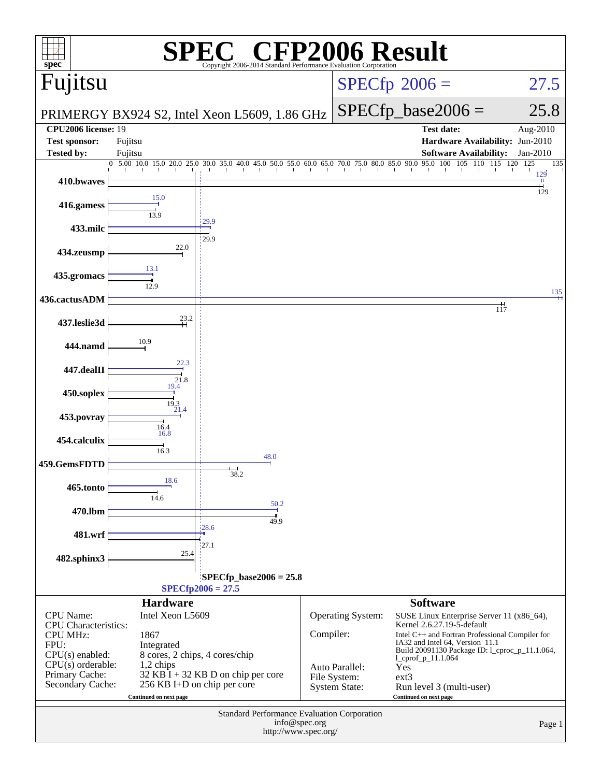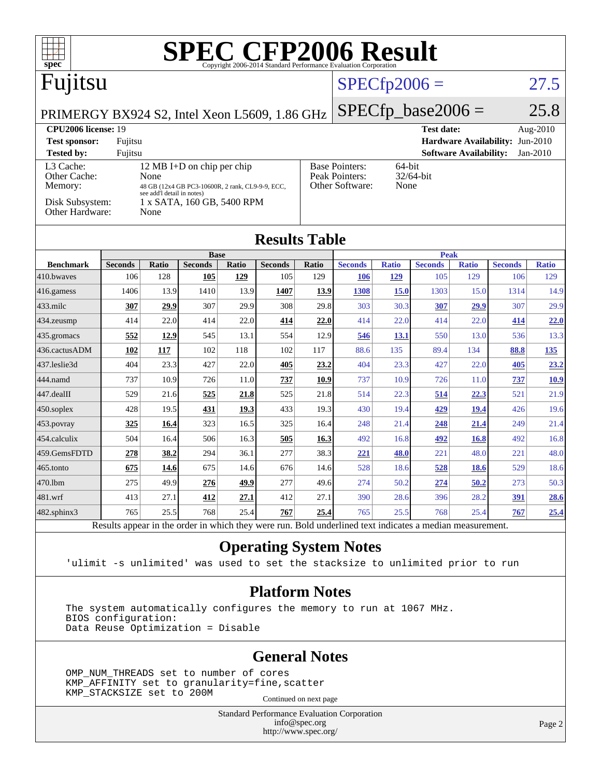| <b>SPEC CFP2006 Result</b><br>$\blacksquare$<br>Copyright 2006-2014 Standard Performance Evaluation Corporation<br>spec <sup>®</sup>                         |                |              |                               |                                             |                |                                                                                           |                      |              |                               |                               |                |              |
|--------------------------------------------------------------------------------------------------------------------------------------------------------------|----------------|--------------|-------------------------------|---------------------------------------------|----------------|-------------------------------------------------------------------------------------------|----------------------|--------------|-------------------------------|-------------------------------|----------------|--------------|
| Fujitsu                                                                                                                                                      |                |              |                               |                                             |                | $SPECfp2006 =$<br>27.5                                                                    |                      |              |                               |                               |                |              |
| PRIMERGY BX924 S2, Intel Xeon L5609, 1.86 GHz                                                                                                                |                |              |                               |                                             |                |                                                                                           | $SPECfp\_base2006 =$ |              |                               |                               | 25.8           |              |
| CPU2006 license: 19<br><b>Test date:</b><br>Aug-2010                                                                                                         |                |              |                               |                                             |                |                                                                                           |                      |              |                               |                               |                |              |
| <b>Test sponsor:</b><br>Fujitsu                                                                                                                              |                |              |                               | <b>Hardware Availability:</b><br>$Jun-2010$ |                |                                                                                           |                      |              |                               |                               |                |              |
| <b>Tested by:</b>                                                                                                                                            | Fujitsu        |              |                               |                                             |                |                                                                                           |                      |              |                               | <b>Software Availability:</b> |                | $Jan-2010$   |
| L3 Cache:<br>12 MB I+D on chip per chip<br>Other Cache:<br>None<br>Memory:<br>48 GB (12x4 GB PC3-10600R, 2 rank, CL9-9-9, ECC,<br>see add'l detail in notes) |                |              |                               |                                             |                | <b>Base Pointers:</b><br>64-bit<br>Peak Pointers:<br>32/64-bit<br>Other Software:<br>None |                      |              |                               |                               |                |              |
| Disk Subsystem:<br>1 x SATA, 160 GB, 5400 RPM<br>Other Hardware:<br>None                                                                                     |                |              |                               |                                             |                |                                                                                           |                      |              |                               |                               |                |              |
| <b>Results Table</b>                                                                                                                                         |                |              |                               |                                             |                |                                                                                           |                      |              |                               |                               |                |              |
| <b>Benchmark</b>                                                                                                                                             | <b>Seconds</b> | <b>Ratio</b> | <b>Base</b><br><b>Seconds</b> | Ratio                                       | <b>Seconds</b> | <b>Ratio</b>                                                                              | <b>Seconds</b>       | <b>Ratio</b> | <b>Peak</b><br><b>Seconds</b> | <b>Ratio</b>                  | <b>Seconds</b> | <b>Ratio</b> |
| 410.bwayes                                                                                                                                                   | 106            | 128          | 105                           | 129                                         | 105            | 129                                                                                       | 106                  | 129          | 105                           | 129                           | 106            | 129          |
| $416$ .gamess                                                                                                                                                | 1406           | 13.9         | 1410                          | 13.9                                        | 1407           | 13.9                                                                                      | 1308                 | <b>15.0</b>  | 1303                          | 15.0                          | 1314           | 14.9         |
| 433.milc                                                                                                                                                     | 307            | 29.9         | 307                           | 29.9                                        | 308            | 29.8                                                                                      | 303                  | 30.3         | 307                           | 29.9                          | 307            | 29.9         |
| $434$ . zeusmp                                                                                                                                               | 414            | 22.0         | 414                           | 22.0                                        | 414            | 22.0                                                                                      | 414                  | 22.0         | 414                           | 22.0                          | 414            | 22.0         |
| 435.gromacs                                                                                                                                                  | 552            | 12.9         | 545                           | 13.1                                        | 554            | 12.9                                                                                      | 546                  | 13.1         | 550                           | 13.0                          | 536            | 13.3         |
| 436.cactusADM                                                                                                                                                | 102            | 117          | 102                           | 118                                         | 102            | 117                                                                                       | 88.6                 | 135          | 89.4                          | 134                           | 88.8           | 135          |
| 437.leslie3d                                                                                                                                                 | 404            | 23.3         | 427                           | 22.0                                        | 405            | 23.2                                                                                      | 404                  | 23.3         | 427                           | 22.0                          | 405            | 23.2         |
| 444.namd                                                                                                                                                     | 737            | 10.9         | 726                           | 11.0                                        | 737            | 10.9                                                                                      | 737                  | 10.9         | 726                           | 11.0                          | 737            | 10.9         |
| $ 447.\text{dealII}$                                                                                                                                         | 529            | 21.6         | 525                           | 21.8                                        | 525            | 21.8                                                                                      | 514                  | 22.3         | 514                           | 22.3                          | 521            | 21.9         |
| $450$ .soplex                                                                                                                                                | 428            | 19.5         | 431                           | 19.3                                        | 433            | 19.3                                                                                      | 430                  | 19.4         | 429                           | <b>19.4</b>                   | 426            | 19.6         |
| $ 453$ . povray                                                                                                                                              | 325            | 16.4         | 323                           | 16.5                                        | 325            | 16.4                                                                                      | 248                  | 21.4         | 248                           | 21.4                          | 249            | 21.4         |
| 454.calculix                                                                                                                                                 | 504            | 16.4         | 506                           | 16.3                                        | 505            | 16.3                                                                                      | 492                  | 16.8         | 492                           | <b>16.8</b>                   | 492            | 16.8         |
| 459.GemsFDTD                                                                                                                                                 | 278            | 38.2         | 294                           | 36.1                                        | 277            | 38.3                                                                                      | <u>221</u>           | 48.0         | 221                           | 48.0                          | 221            | 48.0         |
| $ 465$ .tonto                                                                                                                                                | 675            | 14.6         | 675                           | 14.6                                        | 676            | 14.6                                                                                      | 528                  | 18.6         | 528                           | 18.6                          | 529            | 18.6         |

[482.sphinx3](http://www.spec.org/auto/cpu2006/Docs/482.sphinx3.html) 765 25.5 768 25.4 **[767](http://www.spec.org/auto/cpu2006/Docs/result-fields.html#Median) [25.4](http://www.spec.org/auto/cpu2006/Docs/result-fields.html#Median)** 765 25.5 768 25.4 **[767](http://www.spec.org/auto/cpu2006/Docs/result-fields.html#Median) [25.4](http://www.spec.org/auto/cpu2006/Docs/result-fields.html#Median)** Results appear in the [order in which they were run.](http://www.spec.org/auto/cpu2006/Docs/result-fields.html#RunOrder) Bold underlined text [indicates a median measurement.](http://www.spec.org/auto/cpu2006/Docs/result-fields.html#Median)

[470.lbm](http://www.spec.org/auto/cpu2006/Docs/470.lbm.html) 275 49.9 **[276](http://www.spec.org/auto/cpu2006/Docs/result-fields.html#Median) [49.9](http://www.spec.org/auto/cpu2006/Docs/result-fields.html#Median)** 277 49.6 274 50.2 **[274](http://www.spec.org/auto/cpu2006/Docs/result-fields.html#Median) [50.2](http://www.spec.org/auto/cpu2006/Docs/result-fields.html#Median)** 273 50.3 [481.wrf](http://www.spec.org/auto/cpu2006/Docs/481.wrf.html) 413 27.1 **[412](http://www.spec.org/auto/cpu2006/Docs/result-fields.html#Median) [27.1](http://www.spec.org/auto/cpu2006/Docs/result-fields.html#Median)** 412 27.1 390 28.6 396 28.2 **[391](http://www.spec.org/auto/cpu2006/Docs/result-fields.html#Median) [28.6](http://www.spec.org/auto/cpu2006/Docs/result-fields.html#Median)**

#### **[Operating System Notes](http://www.spec.org/auto/cpu2006/Docs/result-fields.html#OperatingSystemNotes)**

'ulimit -s unlimited' was used to set the stacksize to unlimited prior to run

#### **[Platform Notes](http://www.spec.org/auto/cpu2006/Docs/result-fields.html#PlatformNotes)**

 The system automatically configures the memory to run at 1067 MHz. BIOS configuration: Data Reuse Optimization = Disable

#### **[General Notes](http://www.spec.org/auto/cpu2006/Docs/result-fields.html#GeneralNotes)**

 OMP\_NUM\_THREADS set to number of cores KMP\_AFFINITY set to granularity=fine,scatter KMP\_STACKSIZE set to 200M

Continued on next page

Standard Performance Evaluation Corporation [info@spec.org](mailto:info@spec.org) <http://www.spec.org/>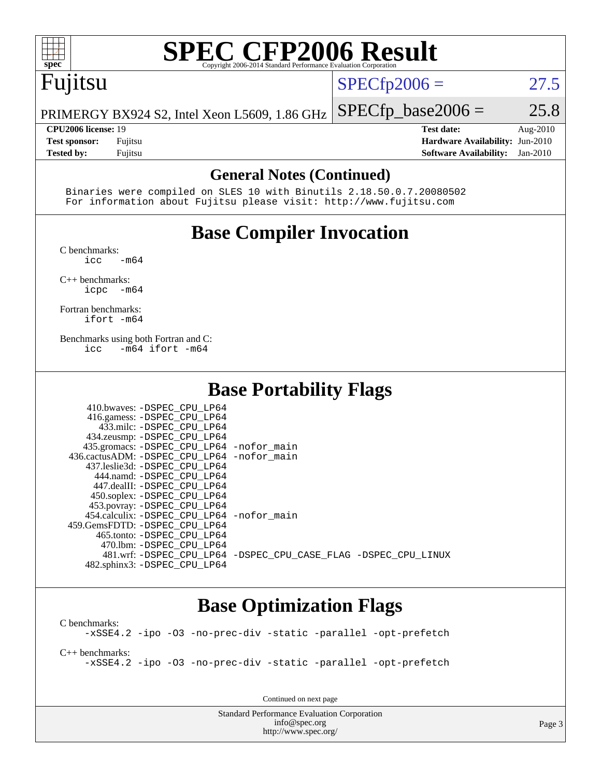

# **[SPEC CFP2006 Result](http://www.spec.org/auto/cpu2006/Docs/result-fields.html#SPECCFP2006Result)**

# Fujitsu

 $SPECfp2006 = 27.5$  $SPECfp2006 = 27.5$ 

PRIMERGY BX924 S2, Intel Xeon L5609, 1.86 GHz  $SPECTp\_base2006 = 25.8$ 

**[CPU2006 license:](http://www.spec.org/auto/cpu2006/Docs/result-fields.html#CPU2006license)** 19 **[Test date:](http://www.spec.org/auto/cpu2006/Docs/result-fields.html#Testdate)** Aug-2010 **[Test sponsor:](http://www.spec.org/auto/cpu2006/Docs/result-fields.html#Testsponsor)** Fujitsu **[Hardware Availability:](http://www.spec.org/auto/cpu2006/Docs/result-fields.html#HardwareAvailability)** Jun-2010 **[Tested by:](http://www.spec.org/auto/cpu2006/Docs/result-fields.html#Testedby)** Fujitsu **[Software Availability:](http://www.spec.org/auto/cpu2006/Docs/result-fields.html#SoftwareAvailability)** Jan-2010

#### **[General Notes \(Continued\)](http://www.spec.org/auto/cpu2006/Docs/result-fields.html#GeneralNotes)**

 Binaries were compiled on SLES 10 with Binutils 2.18.50.0.7.20080502 For information about Fujitsu please visit: <http://www.fujitsu.com>

# **[Base Compiler Invocation](http://www.spec.org/auto/cpu2006/Docs/result-fields.html#BaseCompilerInvocation)**

[C benchmarks](http://www.spec.org/auto/cpu2006/Docs/result-fields.html#Cbenchmarks):

 $\text{icc}$   $-\text{m64}$ [C++ benchmarks:](http://www.spec.org/auto/cpu2006/Docs/result-fields.html#CXXbenchmarks)

[icpc -m64](http://www.spec.org/cpu2006/results/res2010q3/cpu2006-20100813-12870.flags.html#user_CXXbase_intel_icpc_64bit_bedb90c1146cab66620883ef4f41a67e)

[Fortran benchmarks](http://www.spec.org/auto/cpu2006/Docs/result-fields.html#Fortranbenchmarks): [ifort -m64](http://www.spec.org/cpu2006/results/res2010q3/cpu2006-20100813-12870.flags.html#user_FCbase_intel_ifort_64bit_ee9d0fb25645d0210d97eb0527dcc06e)

[Benchmarks using both Fortran and C](http://www.spec.org/auto/cpu2006/Docs/result-fields.html#BenchmarksusingbothFortranandC): [icc -m64](http://www.spec.org/cpu2006/results/res2010q3/cpu2006-20100813-12870.flags.html#user_CC_FCbase_intel_icc_64bit_0b7121f5ab7cfabee23d88897260401c) [ifort -m64](http://www.spec.org/cpu2006/results/res2010q3/cpu2006-20100813-12870.flags.html#user_CC_FCbase_intel_ifort_64bit_ee9d0fb25645d0210d97eb0527dcc06e)

### **[Base Portability Flags](http://www.spec.org/auto/cpu2006/Docs/result-fields.html#BasePortabilityFlags)**

| 410.bwaves: -DSPEC CPU LP64                  |                                                                |
|----------------------------------------------|----------------------------------------------------------------|
| 416.gamess: -DSPEC_CPU_LP64                  |                                                                |
| 433.milc: -DSPEC CPU LP64                    |                                                                |
| 434.zeusmp: -DSPEC_CPU_LP64                  |                                                                |
| 435.gromacs: -DSPEC_CPU_LP64 -nofor_main     |                                                                |
| 436.cactusADM: - DSPEC CPU LP64 - nofor main |                                                                |
| 437.leslie3d: -DSPEC CPU LP64                |                                                                |
| 444.namd: -DSPEC CPU LP64                    |                                                                |
| 447.dealII: -DSPEC CPU LP64                  |                                                                |
| 450.soplex: -DSPEC_CPU_LP64                  |                                                                |
| 453.povray: -DSPEC_CPU_LP64                  |                                                                |
| 454.calculix: - DSPEC CPU LP64 - nofor main  |                                                                |
| 459. GemsFDTD: - DSPEC CPU LP64              |                                                                |
| 465.tonto: - DSPEC CPU LP64                  |                                                                |
| 470.1bm: -DSPEC CPU LP64                     |                                                                |
|                                              | 481.wrf: -DSPEC CPU_LP64 -DSPEC_CPU_CASE_FLAG -DSPEC_CPU_LINUX |
| 482.sphinx3: -DSPEC_CPU_LP64                 |                                                                |

### **[Base Optimization Flags](http://www.spec.org/auto/cpu2006/Docs/result-fields.html#BaseOptimizationFlags)**

[C benchmarks](http://www.spec.org/auto/cpu2006/Docs/result-fields.html#Cbenchmarks): [-xSSE4.2](http://www.spec.org/cpu2006/results/res2010q3/cpu2006-20100813-12870.flags.html#user_CCbase_f-xSSE42_f91528193cf0b216347adb8b939d4107) [-ipo](http://www.spec.org/cpu2006/results/res2010q3/cpu2006-20100813-12870.flags.html#user_CCbase_f-ipo) [-O3](http://www.spec.org/cpu2006/results/res2010q3/cpu2006-20100813-12870.flags.html#user_CCbase_f-O3) [-no-prec-div](http://www.spec.org/cpu2006/results/res2010q3/cpu2006-20100813-12870.flags.html#user_CCbase_f-no-prec-div) [-static](http://www.spec.org/cpu2006/results/res2010q3/cpu2006-20100813-12870.flags.html#user_CCbase_f-static) [-parallel](http://www.spec.org/cpu2006/results/res2010q3/cpu2006-20100813-12870.flags.html#user_CCbase_f-parallel) [-opt-prefetch](http://www.spec.org/cpu2006/results/res2010q3/cpu2006-20100813-12870.flags.html#user_CCbase_f-opt-prefetch)

[C++ benchmarks:](http://www.spec.org/auto/cpu2006/Docs/result-fields.html#CXXbenchmarks)

[-xSSE4.2](http://www.spec.org/cpu2006/results/res2010q3/cpu2006-20100813-12870.flags.html#user_CXXbase_f-xSSE42_f91528193cf0b216347adb8b939d4107) [-ipo](http://www.spec.org/cpu2006/results/res2010q3/cpu2006-20100813-12870.flags.html#user_CXXbase_f-ipo) [-O3](http://www.spec.org/cpu2006/results/res2010q3/cpu2006-20100813-12870.flags.html#user_CXXbase_f-O3) [-no-prec-div](http://www.spec.org/cpu2006/results/res2010q3/cpu2006-20100813-12870.flags.html#user_CXXbase_f-no-prec-div) [-static](http://www.spec.org/cpu2006/results/res2010q3/cpu2006-20100813-12870.flags.html#user_CXXbase_f-static) [-parallel](http://www.spec.org/cpu2006/results/res2010q3/cpu2006-20100813-12870.flags.html#user_CXXbase_f-parallel) [-opt-prefetch](http://www.spec.org/cpu2006/results/res2010q3/cpu2006-20100813-12870.flags.html#user_CXXbase_f-opt-prefetch)

Continued on next page

Standard Performance Evaluation Corporation [info@spec.org](mailto:info@spec.org) <http://www.spec.org/>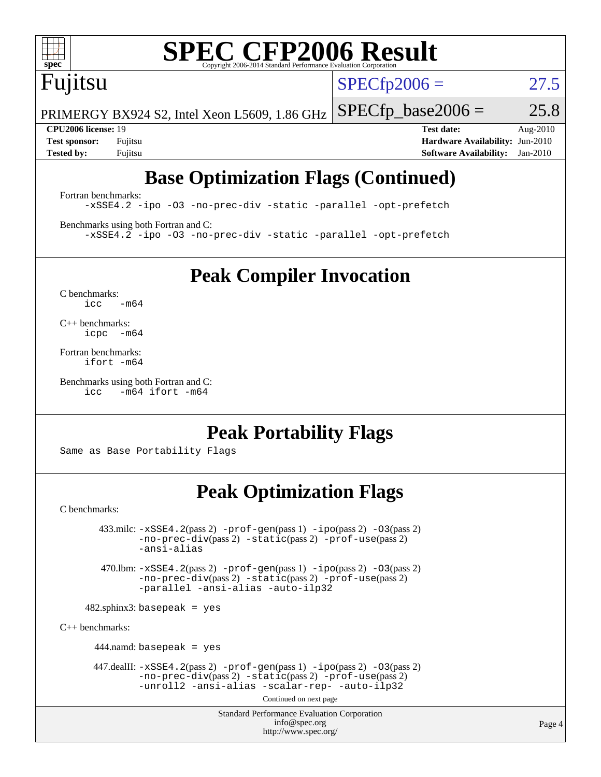

# **[SPEC CFP2006 Result](http://www.spec.org/auto/cpu2006/Docs/result-fields.html#SPECCFP2006Result)**

Fujitsu

 $SPECTp2006 = 27.5$ 

PRIMERGY BX924 S2, Intel Xeon L5609, 1.86 GHz  $SPECTp\_base2006 = 25.8$ 

**[CPU2006 license:](http://www.spec.org/auto/cpu2006/Docs/result-fields.html#CPU2006license)** 19 **[Test date:](http://www.spec.org/auto/cpu2006/Docs/result-fields.html#Testdate)** Aug-2010 **[Test sponsor:](http://www.spec.org/auto/cpu2006/Docs/result-fields.html#Testsponsor)** Fujitsu **[Hardware Availability:](http://www.spec.org/auto/cpu2006/Docs/result-fields.html#HardwareAvailability)** Jun-2010 **[Tested by:](http://www.spec.org/auto/cpu2006/Docs/result-fields.html#Testedby)** Fujitsu **[Software Availability:](http://www.spec.org/auto/cpu2006/Docs/result-fields.html#SoftwareAvailability)** Jan-2010

# **[Base Optimization Flags \(Continued\)](http://www.spec.org/auto/cpu2006/Docs/result-fields.html#BaseOptimizationFlags)**

[Fortran benchmarks](http://www.spec.org/auto/cpu2006/Docs/result-fields.html#Fortranbenchmarks): [-xSSE4.2](http://www.spec.org/cpu2006/results/res2010q3/cpu2006-20100813-12870.flags.html#user_FCbase_f-xSSE42_f91528193cf0b216347adb8b939d4107) [-ipo](http://www.spec.org/cpu2006/results/res2010q3/cpu2006-20100813-12870.flags.html#user_FCbase_f-ipo) [-O3](http://www.spec.org/cpu2006/results/res2010q3/cpu2006-20100813-12870.flags.html#user_FCbase_f-O3) [-no-prec-div](http://www.spec.org/cpu2006/results/res2010q3/cpu2006-20100813-12870.flags.html#user_FCbase_f-no-prec-div) [-static](http://www.spec.org/cpu2006/results/res2010q3/cpu2006-20100813-12870.flags.html#user_FCbase_f-static) [-parallel](http://www.spec.org/cpu2006/results/res2010q3/cpu2006-20100813-12870.flags.html#user_FCbase_f-parallel) [-opt-prefetch](http://www.spec.org/cpu2006/results/res2010q3/cpu2006-20100813-12870.flags.html#user_FCbase_f-opt-prefetch)

[Benchmarks using both Fortran and C](http://www.spec.org/auto/cpu2006/Docs/result-fields.html#BenchmarksusingbothFortranandC): [-xSSE4.2](http://www.spec.org/cpu2006/results/res2010q3/cpu2006-20100813-12870.flags.html#user_CC_FCbase_f-xSSE42_f91528193cf0b216347adb8b939d4107) [-ipo](http://www.spec.org/cpu2006/results/res2010q3/cpu2006-20100813-12870.flags.html#user_CC_FCbase_f-ipo) [-O3](http://www.spec.org/cpu2006/results/res2010q3/cpu2006-20100813-12870.flags.html#user_CC_FCbase_f-O3) [-no-prec-div](http://www.spec.org/cpu2006/results/res2010q3/cpu2006-20100813-12870.flags.html#user_CC_FCbase_f-no-prec-div) [-static](http://www.spec.org/cpu2006/results/res2010q3/cpu2006-20100813-12870.flags.html#user_CC_FCbase_f-static) [-parallel](http://www.spec.org/cpu2006/results/res2010q3/cpu2006-20100813-12870.flags.html#user_CC_FCbase_f-parallel) [-opt-prefetch](http://www.spec.org/cpu2006/results/res2010q3/cpu2006-20100813-12870.flags.html#user_CC_FCbase_f-opt-prefetch)

**[Peak Compiler Invocation](http://www.spec.org/auto/cpu2006/Docs/result-fields.html#PeakCompilerInvocation)**

[C benchmarks](http://www.spec.org/auto/cpu2006/Docs/result-fields.html#Cbenchmarks):  $icc$   $-m64$ 

[C++ benchmarks:](http://www.spec.org/auto/cpu2006/Docs/result-fields.html#CXXbenchmarks) [icpc -m64](http://www.spec.org/cpu2006/results/res2010q3/cpu2006-20100813-12870.flags.html#user_CXXpeak_intel_icpc_64bit_bedb90c1146cab66620883ef4f41a67e)

[Fortran benchmarks](http://www.spec.org/auto/cpu2006/Docs/result-fields.html#Fortranbenchmarks): [ifort -m64](http://www.spec.org/cpu2006/results/res2010q3/cpu2006-20100813-12870.flags.html#user_FCpeak_intel_ifort_64bit_ee9d0fb25645d0210d97eb0527dcc06e)

[Benchmarks using both Fortran and C](http://www.spec.org/auto/cpu2006/Docs/result-fields.html#BenchmarksusingbothFortranandC): [icc -m64](http://www.spec.org/cpu2006/results/res2010q3/cpu2006-20100813-12870.flags.html#user_CC_FCpeak_intel_icc_64bit_0b7121f5ab7cfabee23d88897260401c) [ifort -m64](http://www.spec.org/cpu2006/results/res2010q3/cpu2006-20100813-12870.flags.html#user_CC_FCpeak_intel_ifort_64bit_ee9d0fb25645d0210d97eb0527dcc06e)

**[Peak Portability Flags](http://www.spec.org/auto/cpu2006/Docs/result-fields.html#PeakPortabilityFlags)**

Same as Base Portability Flags

## **[Peak Optimization Flags](http://www.spec.org/auto/cpu2006/Docs/result-fields.html#PeakOptimizationFlags)**

[C benchmarks](http://www.spec.org/auto/cpu2006/Docs/result-fields.html#Cbenchmarks):

 $433 \text{.}$ milc:  $-xSSE4$ .  $2(pass 2)$  - $prof-gen(pass 1)$  - $ipo(pass 2)$  [-O3](http://www.spec.org/cpu2006/results/res2010q3/cpu2006-20100813-12870.flags.html#user_peakPASS2_CFLAGSPASS2_LDFLAGS433_milc_f-O3) $(pass 2)$ [-no-prec-div](http://www.spec.org/cpu2006/results/res2010q3/cpu2006-20100813-12870.flags.html#user_peakPASS2_CFLAGSPASS2_LDFLAGS433_milc_f-no-prec-div)(pass 2) [-static](http://www.spec.org/cpu2006/results/res2010q3/cpu2006-20100813-12870.flags.html#user_peakPASS2_CFLAGSPASS2_LDFLAGS433_milc_f-static)(pass 2) [-prof-use](http://www.spec.org/cpu2006/results/res2010q3/cpu2006-20100813-12870.flags.html#user_peakPASS2_CFLAGSPASS2_LDFLAGS433_milc_prof_use_bccf7792157ff70d64e32fe3e1250b55)(pass 2) [-ansi-alias](http://www.spec.org/cpu2006/results/res2010q3/cpu2006-20100813-12870.flags.html#user_peakOPTIMIZE433_milc_f-ansi-alias) 470.lbm: [-xSSE4.2](http://www.spec.org/cpu2006/results/res2010q3/cpu2006-20100813-12870.flags.html#user_peakPASS2_CFLAGSPASS2_LDFLAGS470_lbm_f-xSSE42_f91528193cf0b216347adb8b939d4107)(pass 2) [-prof-gen](http://www.spec.org/cpu2006/results/res2010q3/cpu2006-20100813-12870.flags.html#user_peakPASS1_CFLAGSPASS1_LDFLAGS470_lbm_prof_gen_e43856698f6ca7b7e442dfd80e94a8fc)(pass 1) [-ipo](http://www.spec.org/cpu2006/results/res2010q3/cpu2006-20100813-12870.flags.html#user_peakPASS2_CFLAGSPASS2_LDFLAGS470_lbm_f-ipo)(pass 2) [-O3](http://www.spec.org/cpu2006/results/res2010q3/cpu2006-20100813-12870.flags.html#user_peakPASS2_CFLAGSPASS2_LDFLAGS470_lbm_f-O3)(pass 2) [-no-prec-div](http://www.spec.org/cpu2006/results/res2010q3/cpu2006-20100813-12870.flags.html#user_peakPASS2_CFLAGSPASS2_LDFLAGS470_lbm_f-no-prec-div)(pass 2) [-static](http://www.spec.org/cpu2006/results/res2010q3/cpu2006-20100813-12870.flags.html#user_peakPASS2_CFLAGSPASS2_LDFLAGS470_lbm_f-static)(pass 2) [-prof-use](http://www.spec.org/cpu2006/results/res2010q3/cpu2006-20100813-12870.flags.html#user_peakPASS2_CFLAGSPASS2_LDFLAGS470_lbm_prof_use_bccf7792157ff70d64e32fe3e1250b55)(pass 2) [-parallel](http://www.spec.org/cpu2006/results/res2010q3/cpu2006-20100813-12870.flags.html#user_peakOPTIMIZE470_lbm_f-parallel) [-ansi-alias](http://www.spec.org/cpu2006/results/res2010q3/cpu2006-20100813-12870.flags.html#user_peakOPTIMIZE470_lbm_f-ansi-alias) [-auto-ilp32](http://www.spec.org/cpu2006/results/res2010q3/cpu2006-20100813-12870.flags.html#user_peakCOPTIMIZE470_lbm_f-auto-ilp32)  $482$ .sphinx3: basepeak = yes [C++ benchmarks:](http://www.spec.org/auto/cpu2006/Docs/result-fields.html#CXXbenchmarks) 444.namd: basepeak = yes 447.dealII: [-xSSE4.2](http://www.spec.org/cpu2006/results/res2010q3/cpu2006-20100813-12870.flags.html#user_peakPASS2_CXXFLAGSPASS2_LDFLAGS447_dealII_f-xSSE42_f91528193cf0b216347adb8b939d4107)(pass 2) [-prof-gen](http://www.spec.org/cpu2006/results/res2010q3/cpu2006-20100813-12870.flags.html#user_peakPASS1_CXXFLAGSPASS1_LDFLAGS447_dealII_prof_gen_e43856698f6ca7b7e442dfd80e94a8fc)(pass 1) [-ipo](http://www.spec.org/cpu2006/results/res2010q3/cpu2006-20100813-12870.flags.html#user_peakPASS2_CXXFLAGSPASS2_LDFLAGS447_dealII_f-ipo)(pass 2) [-O3](http://www.spec.org/cpu2006/results/res2010q3/cpu2006-20100813-12870.flags.html#user_peakPASS2_CXXFLAGSPASS2_LDFLAGS447_dealII_f-O3)(pass 2) [-no-prec-div](http://www.spec.org/cpu2006/results/res2010q3/cpu2006-20100813-12870.flags.html#user_peakPASS2_CXXFLAGSPASS2_LDFLAGS447_dealII_f-no-prec-div)(pass 2) [-static](http://www.spec.org/cpu2006/results/res2010q3/cpu2006-20100813-12870.flags.html#user_peakPASS2_CXXFLAGSPASS2_LDFLAGS447_dealII_f-static)(pass 2) [-prof-use](http://www.spec.org/cpu2006/results/res2010q3/cpu2006-20100813-12870.flags.html#user_peakPASS2_CXXFLAGSPASS2_LDFLAGS447_dealII_prof_use_bccf7792157ff70d64e32fe3e1250b55)(pass 2)

[-unroll2](http://www.spec.org/cpu2006/results/res2010q3/cpu2006-20100813-12870.flags.html#user_peakOPTIMIZE447_dealII_f-unroll_784dae83bebfb236979b41d2422d7ec2) [-ansi-alias](http://www.spec.org/cpu2006/results/res2010q3/cpu2006-20100813-12870.flags.html#user_peakOPTIMIZE447_dealII_f-ansi-alias) [-scalar-rep-](http://www.spec.org/cpu2006/results/res2010q3/cpu2006-20100813-12870.flags.html#user_peakOPTIMIZE447_dealII_f-disablescalarrep_abbcad04450fb118e4809c81d83c8a1d) [-auto-ilp32](http://www.spec.org/cpu2006/results/res2010q3/cpu2006-20100813-12870.flags.html#user_peakCXXOPTIMIZE447_dealII_f-auto-ilp32)

Continued on next page

Standard Performance Evaluation Corporation [info@spec.org](mailto:info@spec.org) <http://www.spec.org/>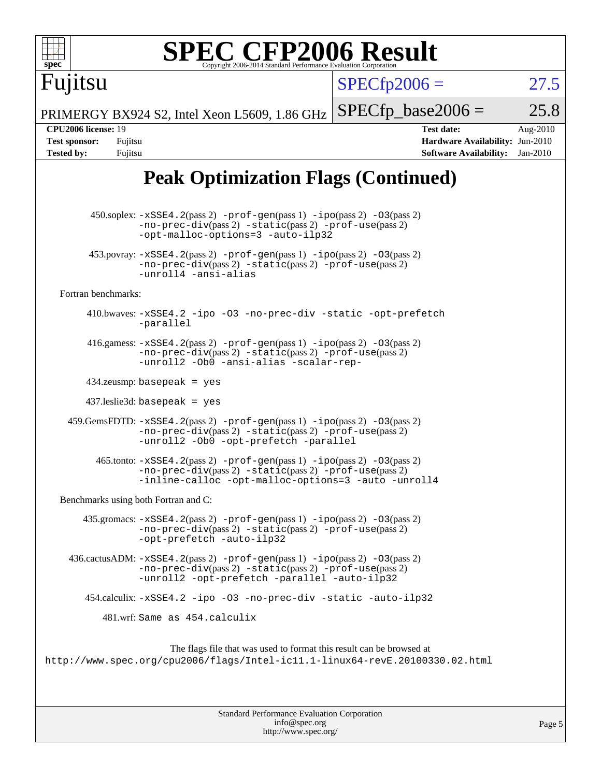| <b>SPEC CFP2006 Result</b><br>$spec^*$<br>Copyright 2006-2014 Standard Performance Evaluation Corporatio                                                                                                                      |                                                                                                                      |
|-------------------------------------------------------------------------------------------------------------------------------------------------------------------------------------------------------------------------------|----------------------------------------------------------------------------------------------------------------------|
| Fujitsu                                                                                                                                                                                                                       | $SPECfp2006 =$<br>27.5                                                                                               |
| PRIMERGY BX924 S2, Intel Xeon L5609, 1.86 GHz                                                                                                                                                                                 | $SPECfp\_base2006 =$<br>25.8                                                                                         |
| <b>CPU2006 license: 19</b><br><b>Test sponsor:</b><br>Fujitsu<br><b>Tested by:</b><br>Fujitsu                                                                                                                                 | <b>Test date:</b><br>Aug-2010<br><b>Hardware Availability: Jun-2010</b><br>Jan-2010<br><b>Software Availability:</b> |
| <b>Peak Optimization Flags (Continued)</b>                                                                                                                                                                                    |                                                                                                                      |
| $450.\text{soplex: } -x\text{SSE4}.2(\text{pass 2}) - \text{prof-gen}(pass 1) - \text{ipo}(pass 2) - 03(pass 2)$<br>$-no-prec-div(pass 2) -static(pass 2) -prof-use(pass 2)$<br>-opt-malloc-options=3 -auto-ilp32             |                                                                                                                      |
| $453.$ povray: $-xSSE4.2(pass 2)$ -prof-gen(pass 1) -ipo(pass 2) -03(pass 2)<br>-no-prec-div(pass 2) -static(pass 2) -prof-use(pass 2)<br>-unroll4 -ansi-alias                                                                |                                                                                                                      |
| Fortran benchmarks:                                                                                                                                                                                                           |                                                                                                                      |
| 410.bwaves: -xSSE4.2 -ipo -03 -no-prec-div -static -opt-prefetch<br>-parallel                                                                                                                                                 |                                                                                                                      |
| 416.gamess: $-xSSE4$ . 2(pass 2) $-prof-gen(pass 1) -ipo(pass 2) -O3(pass 2)$<br>-no-prec-div(pass 2) -static(pass 2) -prof-use(pass 2)<br>-unroll2 -Ob0 -ansi-alias -scalar-rep-                                             |                                                                                                                      |
| $434$ .zeusmp: basepeak = yes                                                                                                                                                                                                 |                                                                                                                      |
| $437$ .leslie3d: basepeak = yes                                                                                                                                                                                               |                                                                                                                      |
| $459. \text{GemsFDTD: } -x \text{SSE4}.2(\text{pass 2}) - \text{prof-gen(pass 1)} - \text{ipo(pass 2)} -03(\text{pass 2})$<br>-no-prec-div(pass 2) -static(pass 2) -prof-use(pass 2)<br>-unroll2 -Ob0 -opt-prefetch -parallel |                                                                                                                      |
| 465.tonto: -xSSE4.2(pass 2) -prof-gen(pass 1) -ipo(pass 2) -03(pass 2)<br>-no-prec-div(pass 2) -static(pass 2) -prof-use(pass 2)<br>-inline-calloc -opt-malloc-options=3 -auto -unroll4                                       |                                                                                                                      |
| Benchmarks using both Fortran and C:                                                                                                                                                                                          |                                                                                                                      |
| 435.gromacs: $-xSSE4$ . 2(pass 2) $-prof$ -gen(pass 1) $-ipo$ (pass 2) $-O3$ (pass 2)<br>-no-prec-div(pass 2) -static(pass 2) -prof-use(pass 2)<br>-opt-prefetch -auto-ilp32                                                  |                                                                                                                      |
| $436 \text{.cactus}$ ADM: $-xSSE4$ . $2(pass 2)$ -prof-gen(pass 1) -ipo(pass 2) -03(pass 2)<br>-no-prec-div(pass 2) -static(pass 2) -prof-use(pass 2)<br>-unroll2 -opt-prefetch -parallel -auto-ilp32                         |                                                                                                                      |
| 454.calculix: -xSSE4.2 -ipo -03 -no-prec-div -static -auto-ilp32                                                                                                                                                              |                                                                                                                      |
| 481.wrf: Same as 454.calculix                                                                                                                                                                                                 |                                                                                                                      |
| The flags file that was used to format this result can be browsed at<br>http://www.spec.org/cpu2006/flags/Intel-ic11.1-linux64-revE.20100330.02.html                                                                          |                                                                                                                      |